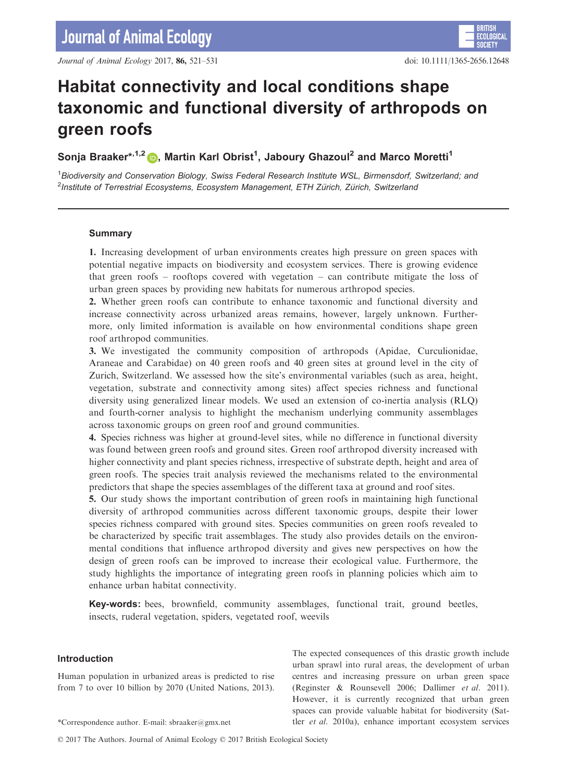# Habitat connectivity and local conditions shape taxonomic and functional diversity of arthropods on green roofs

# Sonja Braaker\*<sup>,1,[2](http://orcid.org/0000-0002-0080-6106)</sup> (b), Martin Karl Obrist<sup>1</sup>, Jaboury Ghazoul<sup>2</sup> and Marco Moretti<sup>1</sup>

<sup>1</sup> Biodiversity and Conservation Biology, Swiss Federal Research Institute WSL, Birmensdorf, Switzerland; and  $^{2}$ Institute of Terrestrial Ecosystems, Ecosystem Management, ETH Zürich, Zürich, Switzerland

# Summary

1. Increasing development of urban environments creates high pressure on green spaces with potential negative impacts on biodiversity and ecosystem services. There is growing evidence that green roofs – rooftops covered with vegetation – can contribute mitigate the loss of urban green spaces by providing new habitats for numerous arthropod species.

2. Whether green roofs can contribute to enhance taxonomic and functional diversity and increase connectivity across urbanized areas remains, however, largely unknown. Furthermore, only limited information is available on how environmental conditions shape green roof arthropod communities.

3. We investigated the community composition of arthropods (Apidae, Curculionidae, Araneae and Carabidae) on 40 green roofs and 40 green sites at ground level in the city of Zurich, Switzerland. We assessed how the site's environmental variables (such as area, height, vegetation, substrate and connectivity among sites) affect species richness and functional diversity using generalized linear models. We used an extension of co-inertia analysis (RLQ) and fourth-corner analysis to highlight the mechanism underlying community assemblages across taxonomic groups on green roof and ground communities.

4. Species richness was higher at ground-level sites, while no difference in functional diversity was found between green roofs and ground sites. Green roof arthropod diversity increased with higher connectivity and plant species richness, irrespective of substrate depth, height and area of green roofs. The species trait analysis reviewed the mechanisms related to the environmental predictors that shape the species assemblages of the different taxa at ground and roof sites.

5. Our study shows the important contribution of green roofs in maintaining high functional diversity of arthropod communities across different taxonomic groups, despite their lower species richness compared with ground sites. Species communities on green roofs revealed to be characterized by specific trait assemblages. The study also provides details on the environmental conditions that influence arthropod diversity and gives new perspectives on how the design of green roofs can be improved to increase their ecological value. Furthermore, the study highlights the importance of integrating green roofs in planning policies which aim to enhance urban habitat connectivity.

Key-words: bees, brownfield, community assemblages, functional trait, ground beetles, insects, ruderal vegetation, spiders, vegetated roof, weevils

### Introduction

Human population in urbanized areas is predicted to rise from 7 to over 10 billion by 2070 (United Nations, 2013).

The expected consequences of this drastic growth include urban sprawl into rural areas, the development of urban centres and increasing pressure on urban green space (Reginster & Rounsevell 2006; Dallimer et al. 2011). However, it is currently recognized that urban green spaces can provide valuable habitat for biodiversity (Sat- \*Correspondence author. E-mail: sbraaker@gmx.net tler *et al.* 2010a), enhance important ecosystem services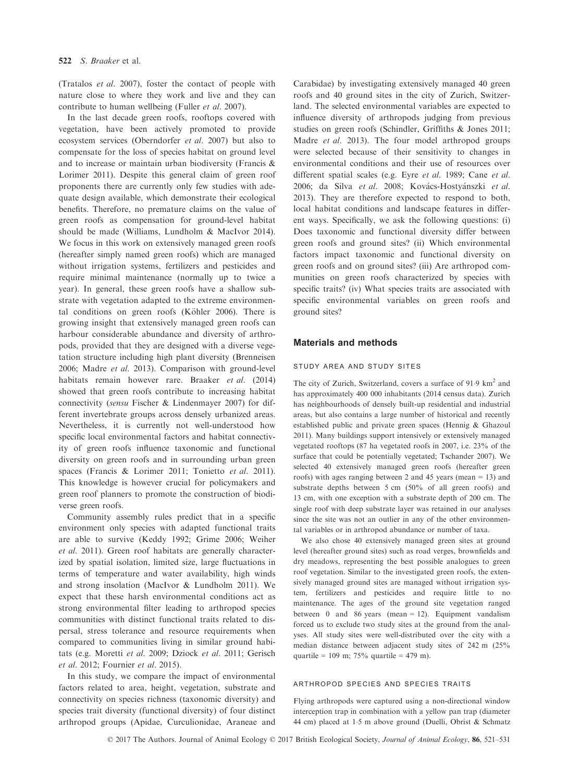(Tratalos et al. 2007), foster the contact of people with nature close to where they work and live and they can contribute to human wellbeing (Fuller et al. 2007).

In the last decade green roofs, rooftops covered with vegetation, have been actively promoted to provide ecosystem services (Oberndorfer et al. 2007) but also to compensate for the loss of species habitat on ground level and to increase or maintain urban biodiversity (Francis & Lorimer 2011). Despite this general claim of green roof proponents there are currently only few studies with adequate design available, which demonstrate their ecological benefits. Therefore, no premature claims on the value of green roofs as compensation for ground-level habitat should be made (Williams, Lundholm & MacIvor 2014). We focus in this work on extensively managed green roofs (hereafter simply named green roofs) which are managed without irrigation systems, fertilizers and pesticides and require minimal maintenance (normally up to twice a year). In general, these green roofs have a shallow substrate with vegetation adapted to the extreme environmental conditions on green roofs (Köhler 2006). There is growing insight that extensively managed green roofs can harbour considerable abundance and diversity of arthropods, provided that they are designed with a diverse vegetation structure including high plant diversity (Brenneisen 2006; Madre et al. 2013). Comparison with ground-level habitats remain however rare. Braaker et al. (2014) showed that green roofs contribute to increasing habitat connectivity (sensu Fischer & Lindenmayer 2007) for different invertebrate groups across densely urbanized areas. Nevertheless, it is currently not well-understood how specific local environmental factors and habitat connectivity of green roofs influence taxonomic and functional diversity on green roofs and in surrounding urban green spaces (Francis & Lorimer 2011; Tonietto et al. 2011). This knowledge is however crucial for policymakers and green roof planners to promote the construction of biodiverse green roofs.

Community assembly rules predict that in a specific environment only species with adapted functional traits are able to survive (Keddy 1992; Grime 2006; Weiher et al. 2011). Green roof habitats are generally characterized by spatial isolation, limited size, large fluctuations in terms of temperature and water availability, high winds and strong insolation (MacIvor & Lundholm 2011). We expect that these harsh environmental conditions act as strong environmental filter leading to arthropod species communities with distinct functional traits related to dispersal, stress tolerance and resource requirements when compared to communities living in similar ground habitats (e.g. Moretti et al. 2009; Dziock et al. 2011; Gerisch et al. 2012; Fournier et al. 2015).

In this study, we compare the impact of environmental factors related to area, height, vegetation, substrate and connectivity on species richness (taxonomic diversity) and species trait diversity (functional diversity) of four distinct arthropod groups (Apidae, Curculionidae, Araneae and

Carabidae) by investigating extensively managed 40 green roofs and 40 ground sites in the city of Zurich, Switzerland. The selected environmental variables are expected to influence diversity of arthropods judging from previous studies on green roofs (Schindler, Griffiths & Jones 2011; Madre et al. 2013). The four model arthropod groups were selected because of their sensitivity to changes in environmental conditions and their use of resources over different spatial scales (e.g. Eyre et al. 1989; Cane et al. 2006; da Silva et al. 2008; Kovács-Hostyánszki et al. 2013). They are therefore expected to respond to both, local habitat conditions and landscape features in different ways. Specifically, we ask the following questions: (i) Does taxonomic and functional diversity differ between green roofs and ground sites? (ii) Which environmental factors impact taxonomic and functional diversity on green roofs and on ground sites? (iii) Are arthropod communities on green roofs characterized by species with specific traits? (iv) What species traits are associated with specific environmental variables on green roofs and ground sites?

# Materials and methods

### study area and study sites

The city of Zurich, Switzerland, covers a surface of 91.9 km<sup>2</sup> and has approximately 400 000 inhabitants (2014 census data). Zurich has neighbourhoods of densely built-up residential and industrial areas, but also contains a large number of historical and recently established public and private green spaces (Hennig & Ghazoul 2011). Many buildings support intensively or extensively managed vegetated rooftops (87 ha vegetated roofs in 2007, i.e. 23% of the surface that could be potentially vegetated; Tschander 2007). We selected 40 extensively managed green roofs (hereafter green roofs) with ages ranging between 2 and 45 years (mean = 13) and substrate depths between 5 cm (50% of all green roofs) and 13 cm, with one exception with a substrate depth of 200 cm. The single roof with deep substrate layer was retained in our analyses since the site was not an outlier in any of the other environmental variables or in arthropod abundance or number of taxa.

We also chose 40 extensively managed green sites at ground level (hereafter ground sites) such as road verges, brownfields and dry meadows, representing the best possible analogues to green roof vegetation. Similar to the investigated green roofs, the extensively managed ground sites are managed without irrigation system, fertilizers and pesticides and require little to no maintenance. The ages of the ground site vegetation ranged between 0 and 86 years (mean = 12). Equipment vandalism forced us to exclude two study sites at the ground from the analyses. All study sites were well-distributed over the city with a median distance between adjacent study sites of 242 m (25% quartile =  $109 \text{ m}$ ;  $75\%$  quartile = 479 m).

#### arthropod species and species traits

Flying arthropods were captured using a non-directional window interception trap in combination with a yellow pan trap (diameter 44 cm) placed at 15 m above ground (Duelli, Obrist & Schmatz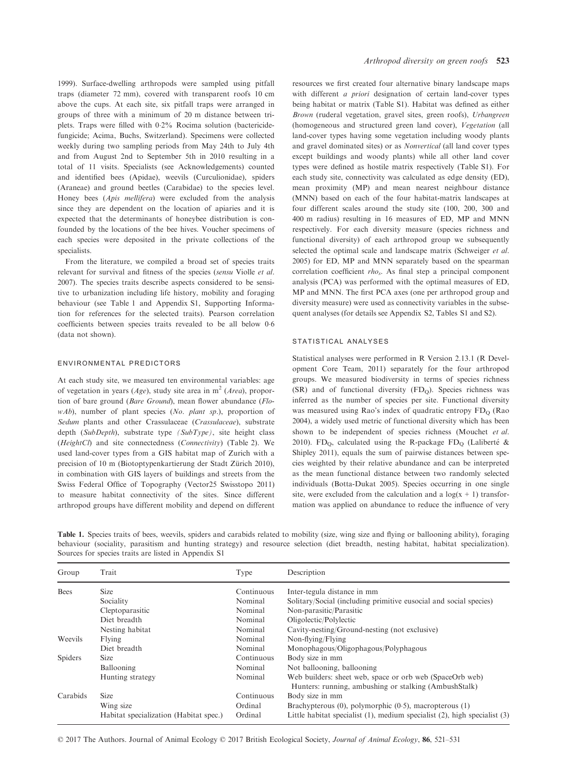1999). Surface-dwelling arthropods were sampled using pitfall traps (diameter 72 mm), covered with transparent roofs 10 cm above the cups. At each site, six pitfall traps were arranged in groups of three with a minimum of 20 m distance between triplets. Traps were filled with 02% Rocima solution (bactericidefungicide; Acima, Buchs, Switzerland). Specimens were collected weekly during two sampling periods from May 24th to July 4th and from August 2nd to September 5th in 2010 resulting in a total of 11 visits. Specialists (see Acknowledgements) counted and identified bees (Apidae), weevils (Curculionidae), spiders (Araneae) and ground beetles (Carabidae) to the species level. Honey bees (Apis mellifera) were excluded from the analysis since they are dependent on the location of apiaries and it is expected that the determinants of honeybee distribution is confounded by the locations of the bee hives. Voucher specimens of each species were deposited in the private collections of the specialists.

From the literature, we compiled a broad set of species traits relevant for survival and fitness of the species (sensu Violle et al. 2007). The species traits describe aspects considered to be sensitive to urbanization including life history, mobility and foraging behaviour (see Table 1 and Appendix S1, Supporting Information for references for the selected traits). Pearson correlation coefficients between species traits revealed to be all below 0.6 (data not shown).

### environmental predictors

At each study site, we measured ten environmental variables: age of vegetation in years (Age), study site area in  $m<sup>2</sup>$  (Area), proportion of bare ground (Bare Ground), mean flower abundance (FlowAb), number of plant species (No. plant sp.), proportion of Sedum plants and other Crassulaceae (Crassulaceae), substrate depth (SubDepth), substrate type (SubType), site height class (HeightCl) and site connectedness (Connectivity) (Table 2). We used land-cover types from a GIS habitat map of Zurich with a precision of 10 m (Biotoptypenkartierung der Stadt Zürich 2010), in combination with GIS layers of buildings and streets from the Swiss Federal Office of Topography (Vector25 Swisstopo 2011) to measure habitat connectivity of the sites. Since different arthropod groups have different mobility and depend on different

resources we first created four alternative binary landscape maps with different *a priori* designation of certain land-cover types being habitat or matrix (Table S1). Habitat was defined as either Brown (ruderal vegetation, gravel sites, green roofs), Urbangreen (homogeneous and structured green land cover), Vegetation (all land-cover types having some vegetation including woody plants and gravel dominated sites) or as Nonvertical (all land cover types except buildings and woody plants) while all other land cover types were defined as hostile matrix respectively (Table S1). For each study site, connectivity was calculated as edge density (ED), mean proximity (MP) and mean nearest neighbour distance (MNN) based on each of the four habitat-matrix landscapes at four different scales around the study site (100, 200, 300 and 400 m radius) resulting in 16 measures of ED, MP and MNN respectively. For each diversity measure (species richness and functional diversity) of each arthropod group we subsequently selected the optimal scale and landscape matrix (Schweiger et al. 2005) for ED, MP and MNN separately based on the spearman correlation coefficient  $rho_s$ . As final step a principal component analysis (PCA) was performed with the optimal measures of ED, MP and MNN. The first PCA axes (one per arthropod group and diversity measure) were used as connectivity variables in the subsequent analyses (for details see Appendix S2, Tables S1 and S2).

#### statistical analyses

Statistical analyses were performed in R Version 2.13.1 (R Development Core Team, 2011) separately for the four arthropod groups. We measured biodiversity in terms of species richness (SR) and of functional diversity  $(FD<sub>O</sub>)$ . Species richness was inferred as the number of species per site. Functional diversity was measured using Rao's index of quadratic entropy FD<sub>O</sub> (Rao 2004), a widely used metric of functional diversity which has been shown to be independent of species richness (Mouchet et al. 2010). FD<sub>Q</sub>, calculated using the R-package FD<sub>Q</sub> (Laliberté & Shipley 2011), equals the sum of pairwise distances between species weighted by their relative abundance and can be interpreted as the mean functional distance between two randomly selected individuals (Botta-Dukat 2005). Species occurring in one single site, were excluded from the calculation and a  $log(x + 1)$  transformation was applied on abundance to reduce the influence of very

Table 1. Species traits of bees, weevils, spiders and carabids related to mobility (size, wing size and flying or ballooning ability), foraging behaviour (sociality, parasitism and hunting strategy) and resource selection (diet breadth, nesting habitat, habitat specialization). Sources for species traits are listed in Appendix S1

| Group    | Trait                                  | Type       | Description                                                                                                       |
|----------|----------------------------------------|------------|-------------------------------------------------------------------------------------------------------------------|
| Bees     | <b>Size</b>                            | Continuous | Inter-tegula distance in mm                                                                                       |
|          | Sociality                              | Nominal    | Solitary/Social (including primitive eusocial and social species)                                                 |
|          | Cleptoparasitic                        | Nominal    | Non-parasitic/Parasitic                                                                                           |
|          | Diet breadth                           | Nominal    | Oligolectic/Polylectic                                                                                            |
|          | Nesting habitat                        | Nominal    | Cavity-nesting/Ground-nesting (not exclusive)                                                                     |
| Weevils  | Flying                                 | Nominal    | Non-flying/Flying                                                                                                 |
|          | Diet breadth                           | Nominal    | Monophagous/Oligophagous/Polyphagous                                                                              |
| Spiders  | <b>Size</b>                            | Continuous | Body size in mm                                                                                                   |
|          | Ballooning                             | Nominal    | Not ballooning, ballooning                                                                                        |
|          | Hunting strategy                       | Nominal    | Web builders: sheet web, space or orb web (SpaceOrb web)<br>Hunters: running, ambushing or stalking (AmbushStalk) |
| Carabids | <b>Size</b>                            | Continuous | Body size in mm                                                                                                   |
|          | Wing size                              | Ordinal    | Brachypterous $(0)$ , polymorphic $(0.5)$ , macropterous $(1)$                                                    |
|          | Habitat specialization (Habitat spec.) | Ordinal    | Little habitat specialist $(1)$ , medium specialist $(2)$ , high specialist $(3)$                                 |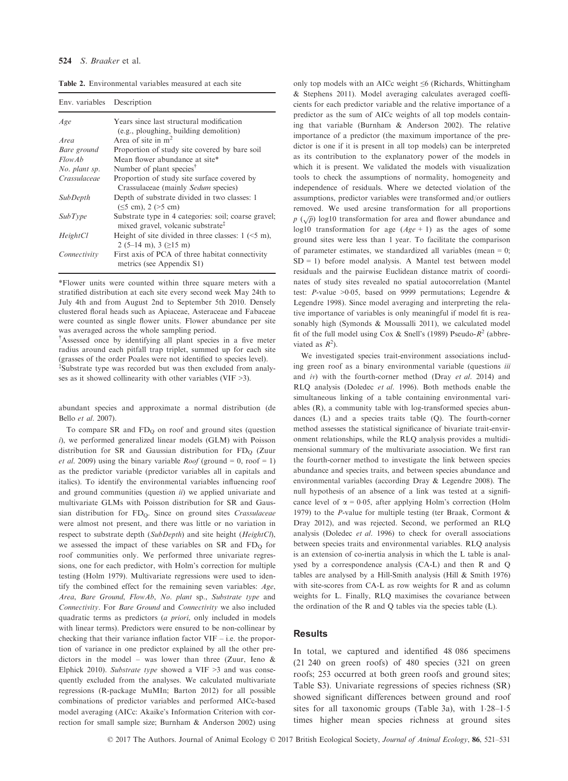Table 2. Environmental variables measured at each site

| Env. variables Description |                                                                                                       |
|----------------------------|-------------------------------------------------------------------------------------------------------|
| Age                        | Years since last structural modification<br>(e.g., ploughing, building demolition)                    |
| Area                       | Area of site in $m2$                                                                                  |
| Bare ground                | Proportion of study site covered by bare soil                                                         |
| FlowAb                     | Mean flower abundance at site*                                                                        |
| No. plant sp.              | Number of plant species <sup>†</sup>                                                                  |
| Crassulaceae               | Proportion of study site surface covered by<br>Crassulaceae (mainly Sedum species)                    |
| <b>SubDepth</b>            | Depth of substrate divided in two classes: 1<br>$(\leq 5$ cm), 2 ( $> 5$ cm)                          |
| SubType                    | Substrate type in 4 categories: soil; coarse gravel;<br>mixed gravel, volcanic substrate <sup>‡</sup> |
| HeightCl                   | Height of site divided in three classes: $1$ ( $\leq$ 5 m),<br>2 (5–14 m), 3 ( $\geq$ 15 m)           |
| Connectivity               | First axis of PCA of three habitat connectivity<br>metrics (see Appendix S1)                          |

\*Flower units were counted within three square meters with a stratified distribution at each site every second week May 24th to July 4th and from August 2nd to September 5th 2010. Densely clustered floral heads such as Apiaceae, Asteraceae and Fabaceae were counted as single flower units. Flower abundance per site was averaged across the whole sampling period.

† Assessed once by identifying all plant species in a five meter radius around each pitfall trap triplet, summed up for each site (grasses of the order Poales were not identified to species level). ‡ Substrate type was recorded but was then excluded from analyses as it showed collinearity with other variables (VIF >3).

abundant species and approximate a normal distribution (de Bello et al. 2007).

To compare  $SR$  and  $FD<sub>O</sub>$  on roof and ground sites (question i), we performed generalized linear models (GLM) with Poisson distribution for SR and Gaussian distribution for  $FD_0$  (Zuur *et al.* 2009) using the binary variable *Roof* (ground = 0, roof = 1) as the predictor variable (predictor variables all in capitals and italics). To identify the environmental variables influencing roof and ground communities (question  $ii$ ) we applied univariate and multivariate GLMs with Poisson distribution for SR and Gaussian distribution for FDQ. Since on ground sites Crassulaceae were almost not present, and there was little or no variation in respect to substrate depth (SubDepth) and site height (HeightCl), we assessed the impact of these variables on SR and  $FD<sub>O</sub>$  for roof communities only. We performed three univariate regressions, one for each predictor, with Holm's correction for multiple testing (Holm 1979). Multivariate regressions were used to identify the combined effect for the remaining seven variables: Age, Area, Bare Ground, FlowAb, No. plant sp., Substrate type and Connectivity. For Bare Ground and Connectivity we also included quadratic terms as predictors (a priori, only included in models with linear terms). Predictors were ensured to be non-collinear by checking that their variance inflation factor VIF – i.e. the proportion of variance in one predictor explained by all the other predictors in the model – was lower than three (Zuur, Ieno  $\&$ Elphick 2010). Substrate type showed a VIF  $\geq$ 3 and was consequently excluded from the analyses. We calculated multivariate regressions (R-package MuMIn; Barton 2012) for all possible combinations of predictor variables and performed AICc-based model averaging (AICc: Akaike's Information Criterion with correction for small sample size; Burnham & Anderson 2002) using

only top models with an AICc weight ≤6 (Richards, Whittingham & Stephens 2011). Model averaging calculates averaged coefficients for each predictor variable and the relative importance of a predictor as the sum of AICc weights of all top models containing that variable (Burnham & Anderson 2002). The relative importance of a predictor (the maximum importance of the predictor is one if it is present in all top models) can be interpreted as its contribution to the explanatory power of the models in which it is present. We validated the models with visualization tools to check the assumptions of normality, homogeneity and independence of residuals. Where we detected violation of the assumptions, predictor variables were transformed and/or outliers removed. We used arcsine transformation for all proportions  $p(\sqrt{p})$  log10 transformation for area and flower abundance and  $p(\sqrt{p})$  log10 transformation for area and flower abundance and log10 transformation for age  $(Age + 1)$  as the ages of some ground sites were less than 1 year. To facilitate the comparison of parameter estimates, we standardized all variables (mean  $= 0$ ;  $SD = 1$ ) before model analysis. A Mantel test between model residuals and the pairwise Euclidean distance matrix of coordinates of study sites revealed no spatial autocorrelation (Mantel test: P-value >0.05, based on 9999 permutations; Legendre & Legendre 1998). Since model averaging and interpreting the relative importance of variables is only meaningful if model fit is reasonably high (Symonds & Moussalli 2011), we calculated model fit of the full model using Cox & Snell's (1989) Pseudo- $R^2$  (abbreviated as  $R^2$ ).

We investigated species trait-environment associations including green roof as a binary environmental variable (questions *iii* and iv) with the fourth-corner method (Dray et al. 2014) and RLQ analysis (Doledec et al. 1996). Both methods enable the simultaneous linking of a table containing environmental variables (R), a community table with log-transformed species abundances (L) and a species traits table (Q). The fourth-corner method assesses the statistical significance of bivariate trait-environment relationships, while the RLQ analysis provides a multidimensional summary of the multivariate association. We first ran the fourth-corner method to investigate the link between species abundance and species traits, and between species abundance and environmental variables (according Dray & Legendre 2008). The null hypothesis of an absence of a link was tested at a significance level of  $\alpha = 0.05$ , after applying Holm's correction (Holm 1979) to the *P*-value for multiple testing (ter Braak, Cormont  $\&$ Dray 2012), and was rejected. Second, we performed an RLQ analysis (Doledec et al. 1996) to check for overall associations between species traits and environmental variables. RLQ analysis is an extension of co-inertia analysis in which the L table is analysed by a correspondence analysis (CA-L) and then R and Q tables are analysed by a Hill-Smith analysis (Hill & Smith 1976) with site-scores from CA-L as row weights for R and as column weights for L. Finally, RLQ maximises the covariance between the ordination of the R and Q tables via the species table (L).

### Results

In total, we captured and identified 48 086 specimens (21 240 on green roofs) of 480 species (321 on green roofs; 253 occurred at both green roofs and ground sites; Table S3). Univariate regressions of species richness (SR) showed significant differences between ground and roof sites for all taxonomic groups (Table 3a), with  $1.28-1.5$ times higher mean species richness at ground sites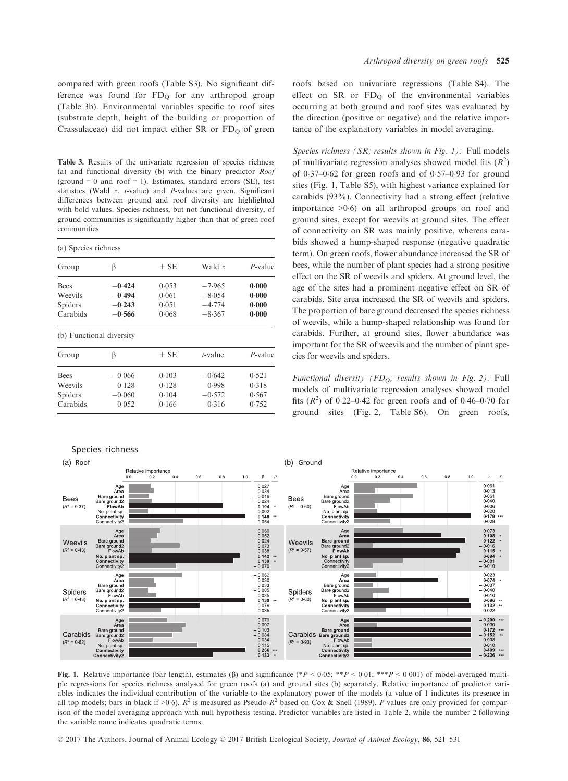compared with green roofs (Table S3). No significant difference was found for  $FD<sub>O</sub>$  for any arthropod group (Table 3b). Environmental variables specific to roof sites (substrate depth, height of the building or proportion of Crassulaceae) did not impact either SR or  $FD<sub>O</sub>$  of green

Table 3. Results of the univariate regression of species richness (a) and functional diversity (b) with the binary predictor Roof (ground  $= 0$  and roof  $= 1$ ). Estimates, standard errors (SE), test statistics (Wald z, t-value) and P-values are given. Significant differences between ground and roof diversity are highlighted with bold values. Species richness, but not functional diversity, of ground communities is significantly higher than that of green roof communities

| (a) Species richness     |          |                   |            |            |  |  |  |
|--------------------------|----------|-------------------|------------|------------|--|--|--|
| Group                    | β        | $+$ SE            | Wald z     | $P$ -value |  |  |  |
| <b>Bees</b>              | $-0.424$ | 0.053             | $-7.965$   | 0.000      |  |  |  |
| Weevils                  | $-0.494$ | 0.061             | $-8.054$   | 0.000      |  |  |  |
| Spiders                  | $-0.243$ | 0.051             | $-4.774$   | 0.000      |  |  |  |
| Carabids<br>$-0.566$     |          | 0.068<br>$-8.367$ |            | 0.000      |  |  |  |
| (b) Functional diversity |          |                   |            |            |  |  |  |
| Group                    | β        | $+$ SE            | $t$ -value | $P$ -value |  |  |  |
| <b>Bees</b>              | $-0.066$ | 0.103             | $-0.642$   | 0.521      |  |  |  |
| Weevils                  | 0.128    | 0.128             | 0.998      | 0.318      |  |  |  |
| Spiders                  | $-0.060$ | 0.104             | $-0.572$   | 0.567      |  |  |  |
| Carabids                 | 0.052    | 0.166             | 0.316      | 0.752      |  |  |  |

### Arthropod diversity on green roofs 525

roofs based on univariate regressions (Table S4). The effect on  $SR$  or  $FD<sub>O</sub>$  of the environmental variables occurring at both ground and roof sites was evaluated by the direction (positive or negative) and the relative importance of the explanatory variables in model averaging.

Species richness (SR; results shown in Fig. 1): Full models of multivariate regression analyses showed model fits  $(R^2)$ of  $0.37-0.62$  for green roofs and of  $0.57-0.93$  for ground sites (Fig. 1, Table S5), with highest variance explained for carabids (93%). Connectivity had a strong effect (relative importance  $>0.6$  on all arthropod groups on roof and ground sites, except for weevils at ground sites. The effect of connectivity on SR was mainly positive, whereas carabids showed a hump-shaped response (negative quadratic term). On green roofs, flower abundance increased the SR of bees, while the number of plant species had a strong positive effect on the SR of weevils and spiders. At ground level, the age of the sites had a prominent negative effect on SR of carabids. Site area increased the SR of weevils and spiders. The proportion of bare ground decreased the species richness of weevils, while a hump-shaped relationship was found for carabids. Further, at ground sites, flower abundance was important for the SR of weevils and the number of plant species for weevils and spiders.

Functional diversity (FD<sub>O</sub>; results shown in Fig. 2): Full models of multivariate regression analyses showed model fits  $(R^2)$  of 0.22–0.42 for green roofs and of 0.46–0.70 for ground sites (Fig. 2, Table S6). On green roofs,



Fig. 1. Relative importance (bar length), estimates ( $\beta$ ) and significance (\*P < 0.05; \*\*P < 0.01; \*\*P < 0.001) of model-averaged multiple regressions for species richness analysed for green roofs (a) and ground sites (b) separately. Relative importance of predictor variables indicates the individual contribution of the variable to the explanatory power of the models (a value of 1 indicates its presence in all top models; bars in black if  $>0.6$ ).  $R^2$  is measured as Pseudo- $R^2$  based on Cox & Snell (1989). P-values are only provided for comparison of the model averaging approach with null hypothesis testing. Predictor variables are listed in Table 2, while the number 2 following the variable name indicates quadratic terms.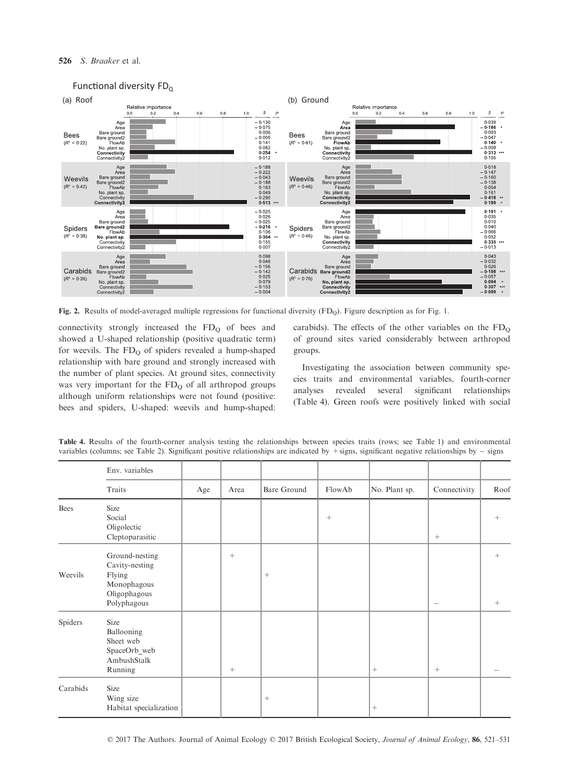### 526 S. Braaker et al.



# Functional diversity FD<sub>Q</sub>

Fig. 2. Results of model-averaged multiple regressions for functional diversity (FD<sub>O</sub>). Figure description as for Fig. 1.

connectivity strongly increased the  $FD_Q$  of bees and showed a U-shaped relationship (positive quadratic term) for weevils. The  $FD<sub>O</sub>$  of spiders revealed a hump-shaped relationship with bare ground and strongly increased with the number of plant species. At ground sites, connectivity was very important for the  $FD<sub>O</sub>$  of all arthropod groups although uniform relationships were not found (positive: bees and spiders, U-shaped: weevils and hump-shaped: carabids). The effects of the other variables on the  $FD<sub>O</sub>$ of ground sites varied considerably between arthropod groups.

Investigating the association between community species traits and environmental variables, fourth-corner analyses revealed several significant relationships (Table 4). Green roofs were positively linked with social

|          | Env. variables                                                                           |     |        |                 |                    |                  |                          |                           |
|----------|------------------------------------------------------------------------------------------|-----|--------|-----------------|--------------------|------------------|--------------------------|---------------------------|
|          | Traits                                                                                   | Age | Area   | Bare Ground     | FlowAb             | No. Plant sp.    | Connectivity             | Roof                      |
| Bees     | Size<br>Social<br>Oligolectic<br>Cleptoparasitic                                         |     |        |                 | $\hspace{0.1mm} +$ |                  | $+$                      | $^{+}$                    |
| Weevils  | Ground-nesting<br>Cavity-nesting<br>Flying<br>Monophagous<br>Oligophagous<br>Polyphagous |     | $+$    | $+$             |                    |                  | $\overline{\phantom{m}}$ | $^{+}$<br>$\! + \!\!\!\!$ |
| Spiders  | Size<br>Ballooning<br>Sheet web<br>SpaceOrb_web<br>AmbushStalk<br>Running                |     | $^{+}$ |                 |                    | $+$              | $+$                      |                           |
| Carabids | Size<br>Wing size<br>Habitat specialization                                              |     |        | $\! + \!\!\!\!$ |                    | $\boldsymbol{+}$ |                          |                           |

Table 4. Results of the fourth-corner analysis testing the relationships between species traits (rows; see Table 1) and environmental variables (columns; see Table 2). Significant positive relationships are indicated by  $+$ signs, significant negative relationships by  $-$  signs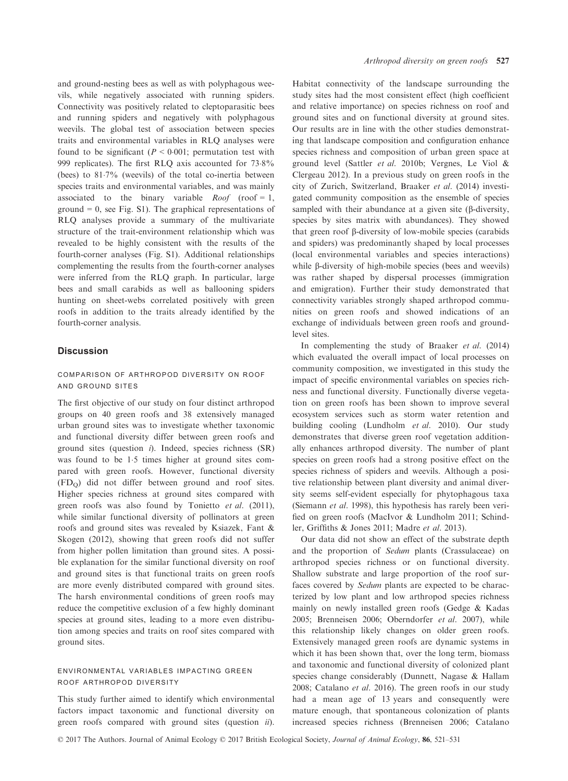and ground-nesting bees as well as with polyphagous weevils, while negatively associated with running spiders. Connectivity was positively related to cleptoparasitic bees and running spiders and negatively with polyphagous weevils. The global test of association between species traits and environmental variables in RLQ analyses were found to be significant ( $P < 0.001$ ; permutation test with 999 replicates). The first RLQ axis accounted for  $73.8\%$ (bees) to 817% (weevils) of the total co-inertia between species traits and environmental variables, and was mainly associated to the binary variable  $Root \text{ (} root = 1,$ ground  $= 0$ , see Fig. S1). The graphical representations of RLQ analyses provide a summary of the multivariate structure of the trait-environment relationship which was revealed to be highly consistent with the results of the fourth-corner analyses (Fig. S1). Additional relationships complementing the results from the fourth-corner analyses were inferred from the RLQ graph. In particular, large bees and small carabids as well as ballooning spiders hunting on sheet-webs correlated positively with green roofs in addition to the traits already identified by the fourth-corner analysis.

### **Discussion**

### comparison of arthropod diversity on roof and ground sites

The first objective of our study on four distinct arthropod groups on 40 green roofs and 38 extensively managed urban ground sites was to investigate whether taxonomic and functional diversity differ between green roofs and ground sites (question  $i$ ). Indeed, species richness  $(SR)$ was found to be 1.5 times higher at ground sites compared with green roofs. However, functional diversity (FDQ) did not differ between ground and roof sites. Higher species richness at ground sites compared with green roofs was also found by Tonietto et al. (2011), while similar functional diversity of pollinators at green roofs and ground sites was revealed by Ksiazek, Fant & Skogen (2012), showing that green roofs did not suffer from higher pollen limitation than ground sites. A possible explanation for the similar functional diversity on roof and ground sites is that functional traits on green roofs are more evenly distributed compared with ground sites. The harsh environmental conditions of green roofs may reduce the competitive exclusion of a few highly dominant species at ground sites, leading to a more even distribution among species and traits on roof sites compared with ground sites.

### environmental variables impacting green roof arthropod diversity

This study further aimed to identify which environmental factors impact taxonomic and functional diversity on green roofs compared with ground sites (question ii).

Habitat connectivity of the landscape surrounding the study sites had the most consistent effect (high coefficient and relative importance) on species richness on roof and ground sites and on functional diversity at ground sites. Our results are in line with the other studies demonstrating that landscape composition and configuration enhance species richness and composition of urban green space at ground level (Sattler et al. 2010b; Vergnes, Le Viol & Clergeau 2012). In a previous study on green roofs in the city of Zurich, Switzerland, Braaker et al. (2014) investigated community composition as the ensemble of species sampled with their abundance at a given site  $(\beta$ -diversity, species by sites matrix with abundances). They showed that green roof b-diversity of low-mobile species (carabids and spiders) was predominantly shaped by local processes (local environmental variables and species interactions) while  $\beta$ -diversity of high-mobile species (bees and weevils) was rather shaped by dispersal processes (immigration and emigration). Further their study demonstrated that connectivity variables strongly shaped arthropod communities on green roofs and showed indications of an exchange of individuals between green roofs and groundlevel sites.

In complementing the study of Braaker et al. (2014) which evaluated the overall impact of local processes on community composition, we investigated in this study the impact of specific environmental variables on species richness and functional diversity. Functionally diverse vegetation on green roofs has been shown to improve several ecosystem services such as storm water retention and building cooling (Lundholm et al. 2010). Our study demonstrates that diverse green roof vegetation additionally enhances arthropod diversity. The number of plant species on green roofs had a strong positive effect on the species richness of spiders and weevils. Although a positive relationship between plant diversity and animal diversity seems self-evident especially for phytophagous taxa (Siemann et al. 1998), this hypothesis has rarely been verified on green roofs (MacIvor & Lundholm 2011; Schindler, Griffiths & Jones 2011; Madre et al. 2013).

Our data did not show an effect of the substrate depth and the proportion of Sedum plants (Crassulaceae) on arthropod species richness or on functional diversity. Shallow substrate and large proportion of the roof surfaces covered by Sedum plants are expected to be characterized by low plant and low arthropod species richness mainly on newly installed green roofs (Gedge & Kadas 2005; Brenneisen 2006; Oberndorfer et al. 2007), while this relationship likely changes on older green roofs. Extensively managed green roofs are dynamic systems in which it has been shown that, over the long term, biomass and taxonomic and functional diversity of colonized plant species change considerably (Dunnett, Nagase & Hallam 2008; Catalano et al. 2016). The green roofs in our study had a mean age of 13 years and consequently were mature enough, that spontaneous colonization of plants increased species richness (Brenneisen 2006; Catalano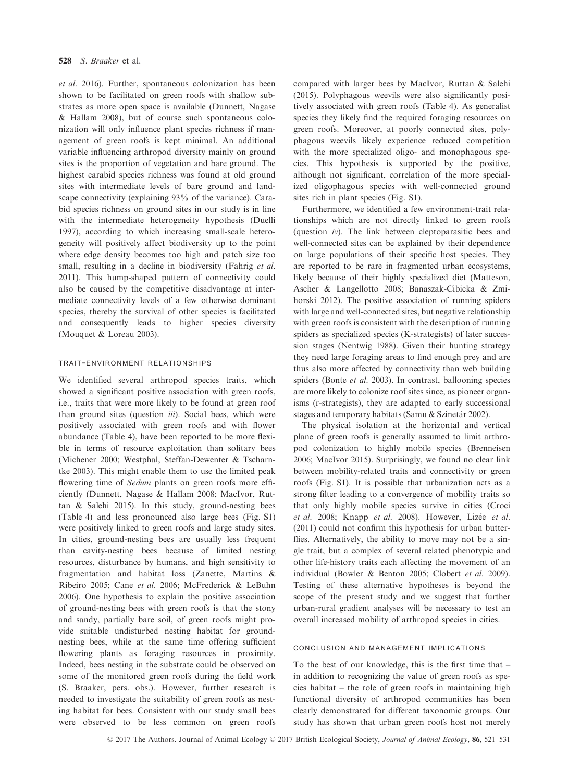et al. 2016). Further, spontaneous colonization has been shown to be facilitated on green roofs with shallow substrates as more open space is available (Dunnett, Nagase & Hallam 2008), but of course such spontaneous colonization will only influence plant species richness if management of green roofs is kept minimal. An additional variable influencing arthropod diversity mainly on ground sites is the proportion of vegetation and bare ground. The highest carabid species richness was found at old ground sites with intermediate levels of bare ground and landscape connectivity (explaining 93% of the variance). Carabid species richness on ground sites in our study is in line with the intermediate heterogeneity hypothesis (Duelli 1997), according to which increasing small-scale heterogeneity will positively affect biodiversity up to the point where edge density becomes too high and patch size too small, resulting in a decline in biodiversity (Fahrig et al. 2011). This hump-shaped pattern of connectivity could also be caused by the competitive disadvantage at intermediate connectivity levels of a few otherwise dominant species, thereby the survival of other species is facilitated and consequently leads to higher species diversity (Mouquet & Loreau 2003).

### trait-environment relationships

We identified several arthropod species traits, which showed a significant positive association with green roofs, i.e., traits that were more likely to be found at green roof than ground sites (question iii). Social bees, which were positively associated with green roofs and with flower abundance (Table 4), have been reported to be more flexible in terms of resource exploitation than solitary bees (Michener 2000; Westphal, Steffan-Dewenter & Tscharntke 2003). This might enable them to use the limited peak flowering time of Sedum plants on green roofs more efficiently (Dunnett, Nagase & Hallam 2008; MacIvor, Ruttan & Salehi 2015). In this study, ground-nesting bees (Table 4) and less pronounced also large bees (Fig. S1) were positively linked to green roofs and large study sites. In cities, ground-nesting bees are usually less frequent than cavity-nesting bees because of limited nesting resources, disturbance by humans, and high sensitivity to fragmentation and habitat loss (Zanette, Martins & Ribeiro 2005; Cane et al. 2006; McFrederick & LeBuhn 2006). One hypothesis to explain the positive association of ground-nesting bees with green roofs is that the stony and sandy, partially bare soil, of green roofs might provide suitable undisturbed nesting habitat for groundnesting bees, while at the same time offering sufficient flowering plants as foraging resources in proximity. Indeed, bees nesting in the substrate could be observed on some of the monitored green roofs during the field work (S. Braaker, pers. obs.). However, further research is needed to investigate the suitability of green roofs as nesting habitat for bees. Consistent with our study small bees were observed to be less common on green roofs compared with larger bees by MacIvor, Ruttan & Salehi (2015). Polyphagous weevils were also significantly positively associated with green roofs (Table 4). As generalist species they likely find the required foraging resources on green roofs. Moreover, at poorly connected sites, polyphagous weevils likely experience reduced competition with the more specialized oligo- and monophagous species. This hypothesis is supported by the positive, although not significant, correlation of the more specialized oligophagous species with well-connected ground sites rich in plant species (Fig. S1).

Furthermore, we identified a few environment-trait relationships which are not directly linked to green roofs (question iv). The link between cleptoparasitic bees and well-connected sites can be explained by their dependence on large populations of their specific host species. They are reported to be rare in fragmented urban ecosystems, likely because of their highly specialized diet (Matteson, Ascher & Langellotto 2008; Banaszak-Cibicka & Zmihorski 2012). The positive association of running spiders with large and well-connected sites, but negative relationship with green roofs is consistent with the description of running spiders as specialized species (K-strategists) of later succession stages (Nentwig 1988). Given their hunting strategy they need large foraging areas to find enough prey and are thus also more affected by connectivity than web building spiders (Bonte *et al.* 2003). In contrast, ballooning species are more likely to colonize roof sites since, as pioneer organisms (r-strategists), they are adapted to early successional stages and temporary habitats (Samu & Szinetár 2002).

The physical isolation at the horizontal and vertical plane of green roofs is generally assumed to limit arthropod colonization to highly mobile species (Brenneisen 2006; MacIvor 2015). Surprisingly, we found no clear link between mobility-related traits and connectivity or green roofs (Fig. S1). It is possible that urbanization acts as a strong filter leading to a convergence of mobility traits so that only highly mobile species survive in cities (Croci et al. 2008; Knapp et al. 2008). However, Lizée et al. (2011) could not confirm this hypothesis for urban butterflies. Alternatively, the ability to move may not be a single trait, but a complex of several related phenotypic and other life-history traits each affecting the movement of an individual (Bowler & Benton 2005; Clobert et al. 2009). Testing of these alternative hypotheses is beyond the scope of the present study and we suggest that further urban-rural gradient analyses will be necessary to test an overall increased mobility of arthropod species in cities.

### conclusion and management implications

To the best of our knowledge, this is the first time that – in addition to recognizing the value of green roofs as species habitat – the role of green roofs in maintaining high functional diversity of arthropod communities has been clearly demonstrated for different taxonomic groups. Our study has shown that urban green roofs host not merely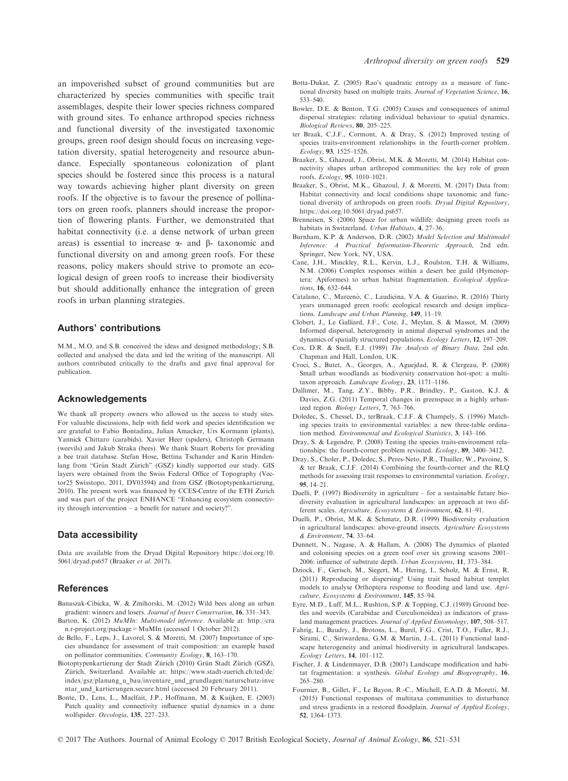an impoverished subset of ground communities but are characterized by species communities with specific trait assemblages, despite their lower species richness compared with ground sites. To enhance arthropod species richness and functional diversity of the investigated taxonomic groups, green roof design should focus on increasing vegetation diversity, spatial heterogeneity and resource abundance. Especially spontaneous colonization of plant species should be fostered since this process is a natural way towards achieving higher plant diversity on green roofs. If the objective is to favour the presence of pollinators on green roofs, planners should increase the proportion of flowering plants. Further, we demonstrated that habitat connectivity (i.e. a dense network of urban green areas) is essential to increase  $\alpha$ - and  $\beta$ - taxonomic and functional diversity on and among green roofs. For these reasons, policy makers should strive to promote an ecological design of green roofs to increase their biodiversity but should additionally enhance the integration of green roofs in urban planning strategies.

# Authors' contributions

M.M., M.O. and S.B. conceived the ideas and designed methodology; S.B. collected and analysed the data and led the writing of the manuscript. All authors contributed critically to the drafts and gave final approval for publication.

### Acknowledgements

We thank all property owners who allowed us the access to study sites. For valuable discussions, help with field work and species identification we are grateful to Fabio Bontadina, Julian Amacker, Urs Kormann (plants), Yannick Chittaro (carabids), Xavier Heer (spiders), Christoph Germann (weevils) and Jakub Straka (bees). We thank Stuart Roberts for providing a bee trait database. Stefan Hose, Bettina Tschander and Karin Hindenlang from "Grün Stadt Zürich" (GSZ) kindly supported our study. GIS layers were obtained from the Swiss Federal Office of Topography (Vector25 Swisstopo, 2011, DV03594) and from GSZ (Biotoptypenkartierung, 2010). The present work was financed by CCES-Centre of the ETH Zurich and was part of the project ENHANCE "Enhancing ecosystem connectivity through intervention – a benefit for nature and society?".

### Data accessibility

Data are available from the Dryad Digital Repository [https://doi.org/10.](https://doi.org/10.5061/dryad.ps657) [5061/dryad.ps657](https://doi.org/10.5061/dryad.ps657) (Braaker et al. 2017).

# References

- Banaszak-Cibicka, W. & Zmihorski, M. (2012) Wild bees along an urban gradient: winners and losers. Journal of Insect Conservation, 16, 331–343.
- Barton, K. (2012) MuMIn: Multi-model inference. Available at: [http://cra](http://cran.r-project.org/package=MuMIn) [n.r-project.org/package=MuMIn](http://cran.r-project.org/package=MuMIn) (accessed 1 October 2012).
- de Bello, F., Leps, J., Lavorel, S. & Moretti, M. (2007) Importance of species abundance for assessment of trait composition: an example based on pollinator communities. Community Ecology, 8, 163–170.
- Biotoptypenkartierung der Stadt Zürich (2010) Grün Stadt Zürich (GSZ), Zürich, Switzerland. Available at: [https://www.stadt-zuerich.ch/ted/de/](https://www.stadt-zuerich.ch/ted/de/index/gsz/planung_u_bau/inventare_und_grundlagen/naturschutz-inventar_und_kartierungen.secure.html) [index/gsz/planung\\_u\\_bau/inventare\\_und\\_grundlagen/naturschutz-inve](https://www.stadt-zuerich.ch/ted/de/index/gsz/planung_u_bau/inventare_und_grundlagen/naturschutz-inventar_und_kartierungen.secure.html) [ntar\\_und\\_kartierungen.secure.html](https://www.stadt-zuerich.ch/ted/de/index/gsz/planung_u_bau/inventare_und_grundlagen/naturschutz-inventar_und_kartierungen.secure.html) (accessed 20 February 2011).
- Bonte, D., Lens, L., Maelfait, J.P., Hoffmann, M. & Kuijken, E. (2003) Patch quality and connectivity influence spatial dynamics in a dune wolfspider. Oecologia, 135, 227–233.
- Botta-Dukat, Z. (2005) Rao's quadratic entropy as a measure of functional diversity based on multiple traits. Journal of Vegetation Science, 16, 533–540.
- Bowler, D.E. & Benton, T.G. (2005) Causes and consequences of animal dispersal strategies: relating individual behaviour to spatial dynamics. Biological Reviews, 80, 205–225.
- ter Braak, C.J.F., Cormont, A. & Dray, S. (2012) Improved testing of species traits-environment relationships in the fourth-corner problem. Ecology, 93, 1525–1526.
- Braaker, S., Ghazoul, J., Obrist, M.K. & Moretti, M. (2014) Habitat connectivity shapes urban arthropod communities: the key role of green roofs. Ecology, 95, 1010–1021.
- Braaker, S., Obrist, M.K., Ghazoul, J. & Moretti, M. (2017) Data from: Habitat connectivity and local conditions shape taxonomic and functional diversity of arthropods on green roofs. Dryad Digital Repository, [https://doi.org/10.5061/dryad.ps657.](https://doi.org/10.5061/dryad.ps657)
- Brenneisen, S. (2006) Space for urban wildlife: designing green roofs as habitats in Switzerland. Urban Habitats, 4, 27–36.
- Burnham, K.P. & Anderson, D.R. (2002) Model Selection and Multimodel Inference: A Practical Information-Theoretic Approach, 2nd edn. Springer, New York, NY, USA.
- Cane, J.H., Minckley, R.L., Kervin, L.J., Roulston, T.H. & Williams, N.M. (2006) Complex responses within a desert bee guild (Hymenoptera: Apiformes) to urban habitat fragmentation. Ecological Applications, 16, 632–644.
- Catalano, C., Marcenò, C., Laudicina, V.A. & Guarino, R. (2016) Thirty years unmanaged green roofs: ecological research and design implications. Landscape and Urban Planning, 149, 11–19.
- Clobert, J., Le Galliard, J.F., Cote, J., Meylan, S. & Massot, M. (2009) Informed dispersal, heterogeneity in animal dispersal syndromes and the dynamics of spatially structured populations. Ecology Letters, 12, 197–209.
- Cox, D.R. & Snell, E.J. (1989) The Analysis of Binary Data, 2nd edn. Chapman and Hall, London, UK.
- Croci, S., Butet, A., Georges, A., Aguejdad, R. & Clergeau, P. (2008) Small urban woodlands as biodiversity conservation hot-spot: a multitaxon approach. Landscape Ecology, 23, 1171–1186.
- Dallimer, M., Tang, Z.Y., Bibby, P.R., Brindley, P., Gaston, K.J. & Davies, Z.G. (2011) Temporal changes in greenspace in a highly urbanized region. Biology Letters, 7, 763–766.
- Doledec, S., Chessel, D., terBraak, C.J.F. & Champely, S. (1996) Matching species traits to environmental variables: a new three-table ordination method. Environmental and Ecological Statistics, 3, 143–166.
- Dray, S. & Legendre, P. (2008) Testing the species traits-environment relationships: the fourth-corner problem revisited. Ecology, 89, 3400–3412.
- Dray, S., Choler, P., Doledec, S., Peres-Neto, P.R., Thuiller, W., Pavoine, S. & ter Braak, C.J.F. (2014) Combining the fourth-corner and the RLQ methods for assessing trait responses to environmental variation. Ecology, 95, 14–21.
- Duelli, P. (1997) Biodiversity in agriculture for a sustainable future biodiversity evaluation in agricultural landscapes: an approach at two different scales. Agriculture, Ecosystems & Environment, 62, 81-91.
- Duelli, P., Obrist, M.K. & Schmatz, D.R. (1999) Biodiversity evaluation in agricultural landscapes: above-ground insects. Agriculture Ecosystems & Environment, 74, 33–64.
- Dunnett, N., Nagase, A. & Hallam, A. (2008) The dynamics of planted and colonising species on a green roof over six growing seasons 2001– 2006: influence of substrate depth. Urban Ecosystems, 11, 373–384.
- Dziock, F., Gerisch, M., Siegert, M., Hering, I., Scholz, M. & Ernst, R. (2011) Reproducing or dispersing? Using trait based habitat templet models to analyse Orthoptera response to flooding and land use. Agriculture, Ecosystems & Environment, 145, 85–94.
- Eyre, M.D., Luff, M.L., Rushton, S.P. & Topping, C.J. (1989) Ground beetles and weevils (Carabidae and Curculionoidea) as indicators of grassland management practices. Journal of Applied Entomology, 107, 508–517.
- Fahrig, L., Baudry, J., Brotons, L., Burel, F.G., Crist, T.O., Fuller, R.J., Sirami, C., Siriwardena, G.M. & Martin, J.-L. (2011) Functional landscape heterogeneity and animal biodiversity in agricultural landscapes. Ecology Letters, 14, 101–112.
- Fischer, J. & Lindenmayer, D.B. (2007) Landscape modification and habitat fragmentation: a synthesis. Global Ecology and Biogeography, 16, 265–280.
- Fournier, B., Gillet, F., Le Bayon, R.-C., Mitchell, E.A.D. & Moretti, M. (2015) Functional responses of multitaxa communities to disturbance and stress gradients in a restored floodplain. Journal of Applied Ecology, 52, 1364–1373.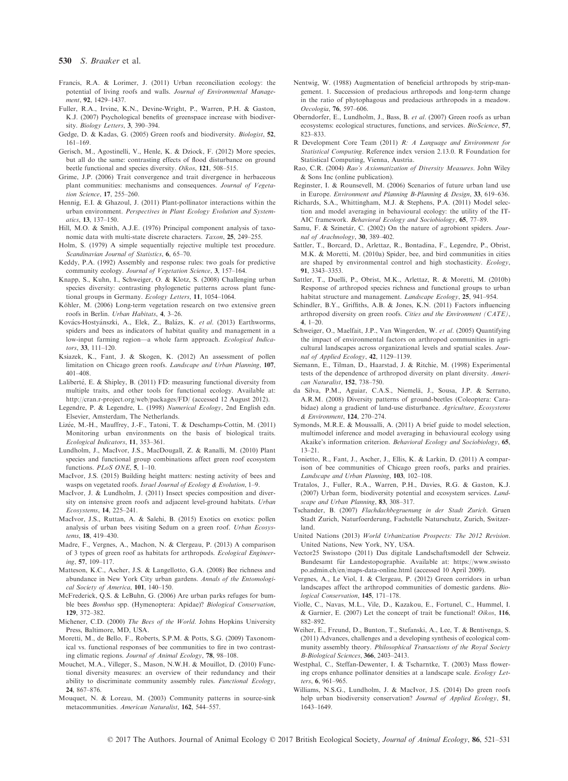- Francis, R.A. & Lorimer, J. (2011) Urban reconciliation ecology: the potential of living roofs and walls. Journal of Environmental Management, 92, 1429–1437.
- Fuller, R.A., Irvine, K.N., Devine-Wright, P., Warren, P.H. & Gaston, K.J. (2007) Psychological benefits of greenspace increase with biodiversity. Biology Letters, 3, 390–394.
- Gedge, D. & Kadas, G. (2005) Green roofs and biodiversity. Biologist, 52, 161–169.
- Gerisch, M., Agostinelli, V., Henle, K. & Dziock, F. (2012) More species, but all do the same: contrasting effects of flood disturbance on ground beetle functional and species diversity. Oikos, 121, 508–515.
- Grime, J.P. (2006) Trait convergence and trait divergence in herbaceous plant communities: mechanisms and consequences. Journal of Vegetation Science, 17, 255–260.
- Hennig, E.I. & Ghazoul, J. (2011) Plant-pollinator interactions within the urban environment. Perspectives in Plant Ecology Evolution and Systematics, 13, 137–150.
- Hill, M.O. & Smith, A.J.E. (1976) Principal component analysis of taxonomic data with multi-state discrete characters. Taxon, 25, 249–255.
- Holm, S. (1979) A simple sequentially rejective multiple test procedure. Scandinavian Journal of Statistics, 6, 65–70.
- Keddy, P.A. (1992) Assembly and response rules: two goals for predictive community ecology. Journal of Vegetation Science, 3, 157–164.
- Knapp, S., Kuhn, I., Schweiger, O. & Klotz, S. (2008) Challenging urban species diversity: contrasting phylogenetic patterns across plant functional groups in Germany. Ecology Letters, 11, 1054–1064.
- Köhler, M.  $(2006)$  Long-term vegetation research on two extensive green roofs in Berlin. Urban Habitats, 4, 3–26.
- Kovács-Hostyánszki, A., Elek, Z., Balázs, K. et al. (2013) Earthworms, spiders and bees as indicators of habitat quality and management in a low-input farming region—a whole farm approach. Ecological Indicators, 33, 111–120.
- Ksiazek, K., Fant, J. & Skogen, K. (2012) An assessment of pollen limitation on Chicago green roofs. Landscape and Urban Planning, 107, 401–408.
- Laliberté, E. & Shipley, B. (2011) FD: measuring functional diversity from multiple traits, and other tools for functional ecology. Available at: <http://cran.r-project.org/web/packages/FD/> (accessed 12 August 2012).
- Legendre, P. & Legendre, L. (1998) Numerical Ecology, 2nd English edn. Elsevier, Amsterdam, The Netherlands.
- Lizée, M.-H., Mauffrey, J.-F., Tatoni, T. & Deschamps-Cottin, M. (2011) Monitoring urban environments on the basis of biological traits. Ecological Indicators, 11, 353–361.
- Lundholm, J., MacIvor, J.S., MacDougall, Z. & Ranalli, M. (2010) Plant species and functional group combinations affect green roof ecosystem functions. PLoS ONE, 5, 1-10.
- MacIvor, J.S. (2015) Building height matters: nesting activity of bees and wasps on vegetated roofs. Israel Journal of Ecology & Evolution, 1-9.
- MacIvor, J. & Lundholm, J. (2011) Insect species composition and diversity on intensive green roofs and adjacent level-ground habitats. Urban Ecosystems, 14, 225–241.
- MacIvor, J.S., Ruttan, A. & Salehi, B. (2015) Exotics on exotics: pollen analysis of urban bees visiting Sedum on a green roof. Urban Ecosystems, 18, 419–430.
- Madre, F., Vergnes, A., Machon, N. & Clergeau, P. (2013) A comparison of 3 types of green roof as habitats for arthropods. Ecological Engineering, 57, 109–117.
- Matteson, K.C., Ascher, J.S. & Langellotto, G.A. (2008) Bee richness and abundance in New York City urban gardens. Annals of the Entomological Society of America, 101, 140–150.
- McFrederick, Q.S. & LeBuhn, G. (2006) Are urban parks refuges for bumble bees Bombus spp. (Hymenoptera: Apidae)? Biological Conservation, 129, 372–382.
- Michener, C.D. (2000) The Bees of the World. Johns Hopkins University Press, Baltimore, MD, USA.
- Moretti, M., de Bello, F., Roberts, S.P.M. & Potts, S.G. (2009) Taxonomical vs. functional responses of bee communities to fire in two contrasting climatic regions. Journal of Animal Ecology, 78, 98–108.
- Mouchet, M.A., Villeger, S., Mason, N.W.H. & Mouillot, D. (2010) Functional diversity measures: an overview of their redundancy and their ability to discriminate community assembly rules. Functional Ecology, 24, 867–876.
- Mouquet, N. & Loreau, M. (2003) Community patterns in source-sink metacommunities. American Naturalist, 162, 544–557.
- Nentwig, W. (1988) Augmentation of beneficial arthropods by strip-mangement. 1. Succession of predacious arthropods and long-term change in the ratio of phytophagous and predacious arthropods in a meadow. Oecologia, 76, 597–606.
- Oberndorfer, E., Lundholm, J., Bass, B. et al. (2007) Green roofs as urban ecosystems: ecological structures, functions, and services. BioScience, 57, 823–833.
- R Development Core Team (2011) R: A Language and Environment for Statistical Computing. Reference index version 2.13.0. R Foundation for Statistical Computing, Vienna, Austria.
- Rao, C.R. (2004) Rao's Axiomatization of Diversity Measures. John Wiley & Sons Inc (online publication).
- Reginster, I. & Rounsevell, M. (2006) Scenarios of future urban land use in Europe. Environment and Planning B-Planning & Design, 33, 619–636.
- Richards, S.A., Whittingham, M.J. & Stephens, P.A. (2011) Model selection and model averaging in behavioural ecology: the utility of the IT-AIC framework. Behavioral Ecology and Sociobiology, 65, 77–89.
- Samu, F. & Szinetár, C. (2002) On the nature of agrobiont spiders. Journal of Arachnology, 30, 389–402.
- Sattler, T., Borcard, D., Arlettaz, R., Bontadina, F., Legendre, P., Obrist, M.K. & Moretti, M. (2010a) Spider, bee, and bird communities in cities are shaped by environmental control and high stochasticity. Ecology, 91, 3343–3353.
- Sattler, T., Duelli, P., Obrist, M.K., Arlettaz, R. & Moretti, M. (2010b). Response of arthropod species richness and functional groups to urban habitat structure and management. Landscape Ecology, 25, 941-954.
- Schindler, B.Y., Griffiths, A.B. & Jones, K.N. (2011) Factors influencing arthropod diversity on green roofs. Cities and the Environment (CATE), 4, 1–20.
- Schweiger, O., Maelfait, J.P., Van Wingerden, W. et al. (2005) Quantifying the impact of environmental factors on arthropod communities in agricultural landscapes across organizational levels and spatial scales. Journal of Applied Ecology, 42, 1129–1139.
- Siemann, E., Tilman, D., Haarstad, J. & Ritchie, M. (1998) Experimental tests of the dependence of arthropod diversity on plant diversity. American Naturalist, 152, 738–750.
- da Silva, P.M., Aguiar, C.A.S., Niemelä, J., Sousa, J.P. & Serrano, A.R.M. (2008) Diversity patterns of ground-beetles (Coleoptera: Carabidae) along a gradient of land-use disturbance. Agriculture, Ecosystems & Environment, 124, 270–274.
- Symonds, M.R.E. & Moussalli, A. (2011) A brief guide to model selection, multimodel inference and model averaging in behavioural ecology using Akaike's information criterion. Behavioral Ecology and Sociobiology, 65, 13–21.
- Tonietto, R., Fant, J., Ascher, J., Ellis, K. & Larkin, D. (2011) A comparison of bee communities of Chicago green roofs, parks and prairies. Landscape and Urban Planning, 103, 102–108.
- Tratalos, J., Fuller, R.A., Warren, P.H., Davies, R.G. & Gaston, K.J. (2007) Urban form, biodiversity potential and ecosystem services. Landscape and Urban Planning, 83, 308-317.
- Tschander, B. (2007) Flachdachbegruenung in der Stadt Zurich. Gruen Stadt Zurich, Naturfoerderung, Fachstelle Naturschutz, Zurich, Switzerland.
- United Nations (2013) World Urbanization Prospects: The 2012 Revision. United Nations, New York, NY, USA.
- Vector25 Swisstopo (2011) Das digitale Landschaftsmodell der Schweiz. Bundesamt für Landestopographie. Available at: [https://www.swissto](https://www.swisstopo.admin.ch/en/maps-data-online.html) [po.admin.ch/en/maps-data-online.html](https://www.swisstopo.admin.ch/en/maps-data-online.html) (accessed 10 April 2009).
- Vergnes, A., Le Viol, I. & Clergeau, P. (2012) Green corridors in urban landscapes affect the arthropod communities of domestic gardens. Biological Conservation, 145, 171–178.
- Violle, C., Navas, M.L., Vile, D., Kazakou, E., Fortunel, C., Hummel, I. & Garnier, E. (2007) Let the concept of trait be functional! Oikos, 116, 882–892.
- Weiher, E., Freund, D., Bunton, T., Stefanski, A., Lee, T. & Bentivenga, S. (2011) Advances, challenges and a developing synthesis of ecological community assembly theory. Philosophical Transactions of the Royal Society B-Biological Sciences, 366, 2403–2413.
- Westphal, C., Steffan-Dewenter, I. & Tscharntke, T. (2003) Mass flowering crops enhance pollinator densities at a landscape scale. Ecology Letters, 6, 961–965.
- Williams, N.S.G., Lundholm, J. & MacIvor, J.S. (2014) Do green roofs help urban biodiversity conservation? Journal of Applied Ecology, 51, 1643–1649.